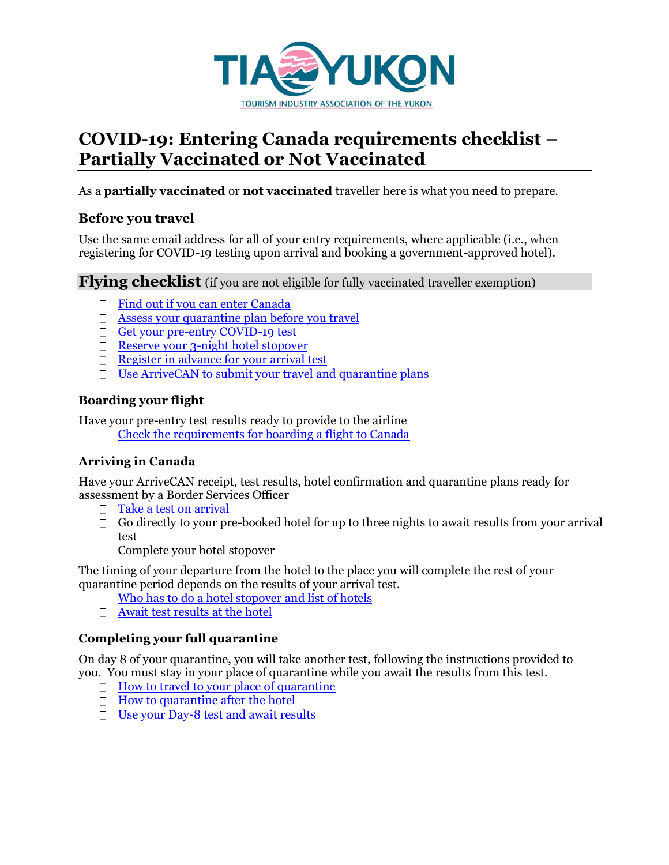

# **COVID-19: Entering Canada requirements checklist – Partially Vaccinated or Not Vaccinated**

As a **partially vaccinated** or **not vaccinated** traveller here is what you need to prepare.

## **Before you travel**

Use the same email address for all of your entry requirements, where applicable (i.e., when registering for COVID-19 testing upon arrival and booking a government-approved hotel).

**Flying checklist** (if you are not eligible for fully vaccinated traveller exemption)

- □ [Find out if you can enter Canada](https://travel.gc.ca/travel-covid/travel-restrictions/wizard-start)
- $\Box$  [Assess your quarantine plan before you travel](https://travel.gc.ca/travel-covid/travel-restrictions/isolation/quarantine-start)
- [Get your pre-entry COVID-19 test](https://travel.gc.ca/travel-covid/travel-restrictions/flying-canada-checklist/covid-19-testing-travellers-coming-into-canada#getting-tested)
- [Reserve your 3-night hotel stopover](https://www.canada.ca/en/public-health/services/diseases/2019-novel-coronavirus-infection/latest-travel-health-advice/mandatory-hotel-stay-air-travellers/list-government-authorized-hotels-booking.html#s2)
- $\Box$  [Register in advance for your arrival test](https://travel.gc.ca/travel-covid/travel-restrictions/flying-canada-checklist/covid-19-testing-travellers-coming-into-canada#arrival-testing)
- $\Box$  [Use ArriveCAN to submit your travel and quarantine plans](https://www.canada.ca/en/public-health/services/diseases/coronavirus-disease-covid-19/arrivecan.html#a3)

### **Boarding your flight**

Have your pre-entry test results ready to provide to the airline

 $\Box$  [Check the requirements for boarding a flight to Canada](https://travel.gc.ca/travel-covid/travel-restrictions/flying#board)

### **Arriving in Canada**

Have your ArriveCAN receipt, test results, hotel confirmation and quarantine plans ready for assessment by a Border Services Officer

- $\Box$  [Take a test on arrival](https://travel.gc.ca/travel-covid/travel-restrictions/flying/covid-19-testing-travellers-coming-into-canada#arrival-testing)
- $\Box$  Go directly to your pre-booked hotel for up to three nights to await results from your arrival test
- $\Box$  Complete your hotel stopover

The timing of your departure from the hotel to the place you will complete the rest of your quarantine period depends on the results of your arrival test.

- $\Box$  [Who has to do a hotel stopover and list of hotels](https://www.canada.ca/en/public-health/services/diseases/2019-novel-coronavirus-infection/latest-travel-health-advice/mandatory-hotel-stay-air-travellers/list-government-authorized-hotels-booking.html#s1)
- [Await test results at the hotel](https://travel.gc.ca/travel-covid/travel-restrictions/flying-canada-checklist/covid-19-testing-travellers-coming-into-canada#airport-testing)

#### **Completing your full quarantine**

On day 8 of your quarantine, you will take another test, following the instructions provided to you. You must stay in your place of quarantine while you await the results from this test.

- $\Box$  [How to travel to your place of quarantine](https://travel.gc.ca/travel-covid/travel-restrictions/isolation#travelling-on-hotel)
- $\Box$  [How to quarantine after the hotel](https://travel.gc.ca/travel-covid/travel-restrictions/isolation#quarantine)
- $\Box$  [Use your Day-8 test and await results](https://travel.gc.ca/travel-covid/travel-restrictions/flying-canada-checklist/covid-19-testing-travellers-coming-into-canada#complete-test-kit)